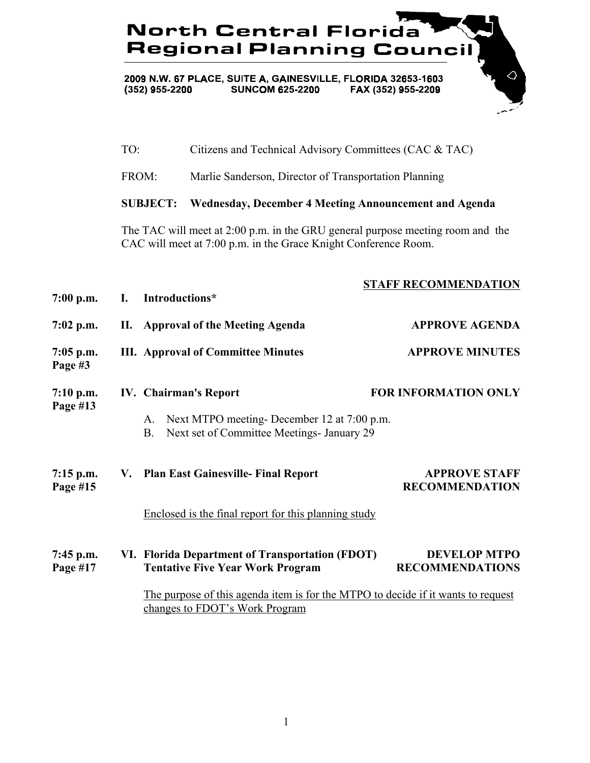## 73 **North Central Florida Regional Planning Council**

 $\Diamond$ 

2009 N.W. 67 PLACE, SUITE A, GAINESVILLE, FLORIDA 32653-1603<br>(352) 955-2200 SUNCOM 625-2200 FAX (352) 955-2209

|                         | TO:             |                                                                                                                                                   | Citizens and Technical Advisory Committees (CAC & TAC)<br>Marlie Sanderson, Director of Transportation Planning |                                               |  |  |
|-------------------------|-----------------|---------------------------------------------------------------------------------------------------------------------------------------------------|-----------------------------------------------------------------------------------------------------------------|-----------------------------------------------|--|--|
|                         | FROM:           |                                                                                                                                                   |                                                                                                                 |                                               |  |  |
|                         | <b>SUBJECT:</b> |                                                                                                                                                   | Wednesday, December 4 Meeting Announcement and Agenda                                                           |                                               |  |  |
|                         |                 | The TAC will meet at 2:00 p.m. in the GRU general purpose meeting room and the<br>CAC will meet at 7:00 p.m. in the Grace Knight Conference Room. |                                                                                                                 |                                               |  |  |
| $7:00$ p.m.             | I.              | Introductions*                                                                                                                                    |                                                                                                                 | <b>STAFF RECOMMENDATION</b>                   |  |  |
| $7:02$ p.m.             | II.             |                                                                                                                                                   | <b>Approval of the Meeting Agenda</b>                                                                           | <b>APPROVE AGENDA</b>                         |  |  |
| $7:05$ p.m.<br>Page #3  |                 |                                                                                                                                                   | <b>III.</b> Approval of Committee Minutes                                                                       | <b>APPROVE MINUTES</b>                        |  |  |
| 7:10 p.m.<br>Page #13   |                 |                                                                                                                                                   | <b>IV.</b> Chairman's Report                                                                                    | <b>FOR INFORMATION ONLY</b>                   |  |  |
|                         |                 | A.<br><b>B.</b>                                                                                                                                   | Next MTPO meeting-December 12 at 7:00 p.m.<br>Next set of Committee Meetings- January 29                        |                                               |  |  |
| $7:15$ p.m.<br>Page #15 |                 |                                                                                                                                                   | V. Plan East Gainesville- Final Report                                                                          | <b>APPROVE STAFF</b><br><b>RECOMMENDATION</b> |  |  |
|                         |                 |                                                                                                                                                   | Enclosed is the final report for this planning study                                                            |                                               |  |  |
| 7:45 p.m.<br>Page #17   |                 |                                                                                                                                                   | VI. Florida Department of Transportation (FDOT)<br><b>Tentative Five Year Work Program</b>                      | <b>DEVELOP MTPO</b><br><b>RECOMMENDATIONS</b> |  |  |
|                         |                 | The purpose of this agenda item is for the MTPO to decide if it wants to request<br>changes to FDOT's Work Program                                |                                                                                                                 |                                               |  |  |